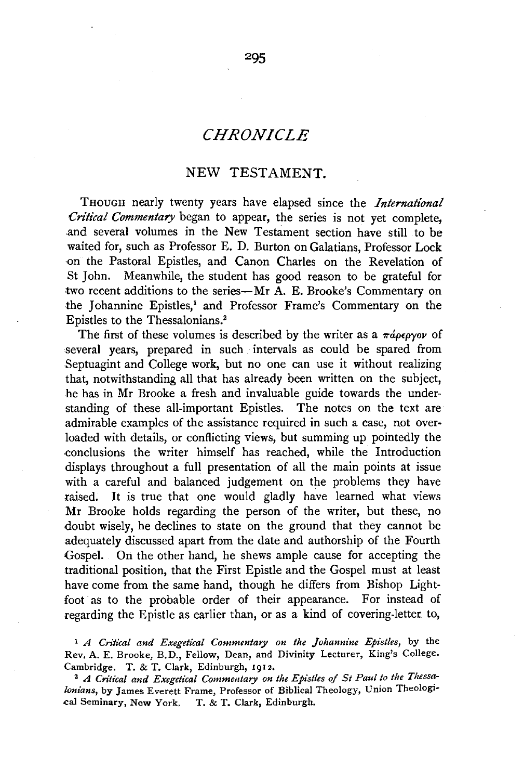# *CHRONICLE*

## NEW TESTAMENT.

THOUGH nearly twenty years have elapsed since the *International Critical Commentary* began to appear, the series is not yet complete. and several volumes in the New Testament section have still to be waited for, such as Professor E. D. Burton on Galatians, Professor Lock on the Pastoral Epistles, and Canon Charles on the Revelation of St John. Meanwhile, the student has good reason to be grateful for two recent additions to the series-Mr A. E. Brooke's Commentary on the Johannine Epistles,<sup>1</sup> and Professor Frame's Commentary on the Epistles to the Thessalonians.2

The first of these volumes is described by the writer as a  $\pi \phi \epsilon \rho \gamma \omega \rho$  of several years, prepared in such intervals as could be spared from Septuagint and College work, but no one can use it without realizing that, notwithstanding all that has already been written on the subject, he has in Mr Brooke a fresh and invaluable guide towards the understanding of these all-important Epistles. The notes on the text are admirable examples of the assistance required in such a case, not overloaded with details, or conflicting views, but summing up pointedly the -conclusions the writer himself has reached, while the Introduction displays throughout a full presentation of all the main points at issue with a careful and balanced judgement on the problems they have raised. It is true that one would gladly have learned what views Mr Brooke holds regarding the person of the writer, but these, no doubt wisely, he declines to state on the ground that they cannot be adequately discussed apart from the date and authorship of the Fourth Gospel. On the other hand, he shews ample cause for accepting the traditional position, that the First Epistle and the Gospel must at least have come from the same hand, though he differs from Bishop Lightfoot as to the probable order of their appearance. For instead of regarding the Epistle as earlier than, or as a kind of covering-letter to,

<sup>1</sup> *A Critical and Exegetical Commentary on the Johannine Epistles, by the* Rev. A. E. Brooke, B.D., Fellow, Dean, and Divinity Lecturer, King's College. Cambridge. T. & T. Clark, Edinburgh, 1912.

<sup>2</sup> A Critical and Exegetical Commentary on the Epistles of St Paul to the Thessa*lonians,* by James Everett Frame, Professor of Biblical Theology, Union Theologi• cal Seminary, New York. T. & T. Clark, Edinburgh.

295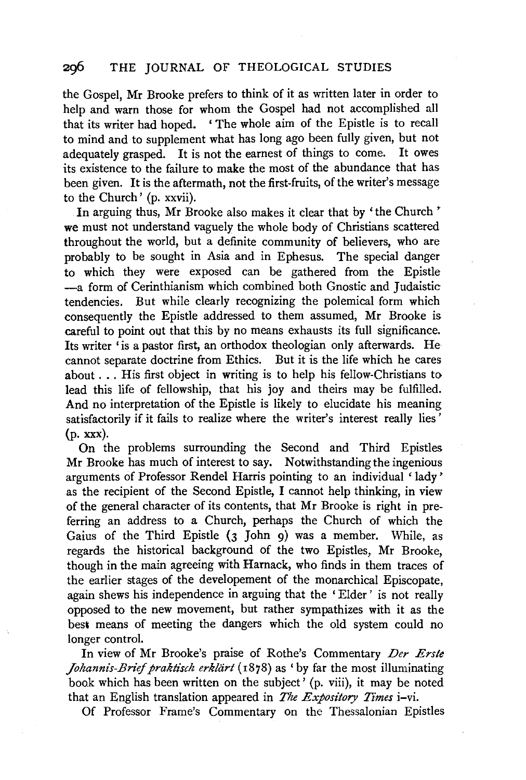### 2g6 THE JOURNAL OF THEOLOGICAL STUDIES

the Gospel, Mr Brooke prefers to think of it as written later in order to help and warn those for whom the Gospel had not accomplished all that its writer had hoped. ' The whole aim of the Epistle is to recall to mind and to supplement what has long ago been fully given, but not adequately grasped. It is not the earnest of things to come. It owes its existence to the failure to make the most of the abundance that has been given. It is the aftermath, not the first-fruits, of the writer's message to the Church' (p. xxvii).

In arguing thus, Mr Brooke also makes it clear that by 'the Church' we must not understand vaguely the whole body of Christians scattered throughout the world, but a definite community of believers, who are probably to be sought in Asia and in Ephesus. The special danger to which they were exposed can be gathered from the Epistle -a form of Cerinthianism which combined both Gnostic and Judaistic tendencies. But while clearly recognizing the polemical form which consequently the Epistle addressed to them assumed, Mr Brooke is careful to point out that this by no means exhausts its full significance. Its writer 'is a pastor first, an orthodox theologian only afterwards. He cannot separate doctrine from Ethics. But it is the life which he cares about ... His first object in writing is to help his fellow-Christians to lead this life of fellowship, that his joy and theirs may be fulfilled. And no interpretation of the Epistle is likely to elucidate his meaning satisfactorily if it fails to realize where the writer's interest really lies' (p. xxx).

On the problems surrounding the Second and Third Epistles Mr Brooke has much of interest to say. Notwithstanding the ingenious arguments of Professor Rendel Harris pointing to an individual ' lady ' as the recipient of the Second Epistle, I cannot help thinking, in view of the general character of its contents, that Mr Brooke is right in preferring an address to a Church, perhaps the Church of which the Gaius of the Third Epistle (3 John 9) was a member. While, as regards the historical background of the two Epistles, Mr Brooke, though in the main agreeing with Harnack, who finds in them traces of the earlier stages of the developement of the monarchical Episcopate, again shews his independence in arguing that the 'Elder' is not really opposed to the new movement, but rather sympathizes with it as the best means of meeting the dangers which the old system could no longer control.

In view of Mr Brooke's praise of Rothe's Commentary *Der Erste Johannis-Brief praktisch erklärt* (1878) as 'by far the most illuminating book which has been written on the subject' (p. viii), it may be noted that an English translation appeared in *The Expository Times* i-vi.

Of Professor Frame's Commentary on the Thessalonian Epistles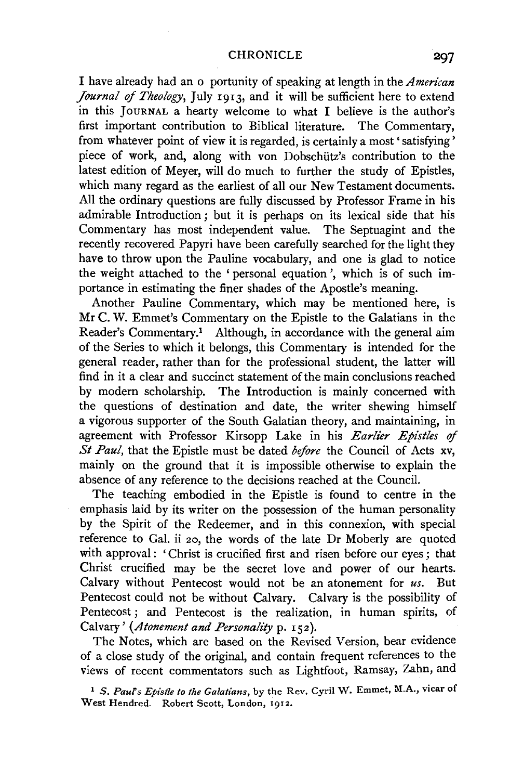I have already had an o portunity of speaking at length in the *American Journal of Theology,* July 1913, and it will be sufficient here to extend in this JouRNAL a hearty welcome to what I believe is the author's first important contribution to Biblical literature. The Commentary, from whatever point of view it is regarded, is certainly a most ' satisfying ' piece of work, and, along with von Dobschütz's contribution to the latest edition of Meyer, will do much to further the study of Epistles, which many regard as the earliest of all our New Testament documents. All the ordinary questions are fully discussed by Professor Frame in his admirable Introduction; but it is perhaps on its lexical side that his Commentary has most independent value. The Septuagint and the recently recovered Papyri have been carefully searched for the light they have to throw upon the Pauline vocabulary, and one is glad to notice the weight attached to the ' personal equation', which is of such importance in estimating the finer shades of the Apostle's meaning.

Another Pauline Commentary, which may be mentioned here, is Mr C. W. Emmet's Commentary on the Epistle to the Galatians in the Reader's Commentary.<sup>1</sup> Although, in accordance with the general aim of the Series to which it belongs, this Commentary is intended for the general reader, rather than for the professional student, the latter will find in it a clear and succinct statement of the main conclusions reached by modern scholarship. The Introduction is mainly concerned with the questions of destination and date, the writer shewing himself a vigorous supporter of the South Galatian theory, and maintaining, in agreement with Professor Kirsopp Lake in his *Earlier Epistles of St Paul,* that the Epistle must be dated *before* the Council of Acts xv, mainly on the ground that it is impossible otherwise to explain the absence of any reference to the decisions reached at the Council.

The teaching embodied in the Epistle is found to centre in the emphasis laid by its writer on the possession of the human personality by the Spirit of the Redeemer, and in this connexion, with special reference to Gal. ii 20, the words of the late Dr Moberly are quoted with approval: 'Christ is crucified first and risen before our eyes; that Christ crucified may be the secret love and power of our hearts. Calvary without Pentecost would not be an atonement for *us.* But Pentecost could not be without Calvary. Calvary is the possibility of Pentecost ; and Pentecost is the realization, in human spirits, of Calvary' (Atonement and Personality p. 152).

The Notes, which are based on the Revised Version, bear evidence of a close study of the original, and contain frequent references to the views of recent commentators such as Lightfoot, Ramsay, Zahn, and

<sup>1</sup>*S. Paufs Epistle to the Galatians,* by the Rev. Cyril W. Emmet, M.A., vicar of West Hendred. Robert Scott, London, 1912.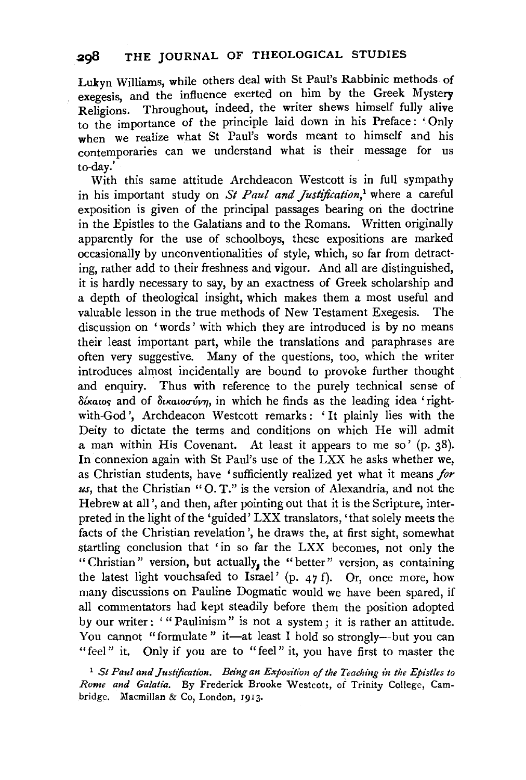Lukyn Williams, while others deal with St Paul's Rabbinic methods of  $exeee$ exegesis, and the influence exerted on him by the Greek Mysterv Religions. Throughout, indeed, the writer shews himself fully alive to the importance of the principle laid down in his Preface: ' Only when we realize what St Paul's words meant to himself and his contemporaries can we understand what is their message for us to-day.'

With this same attitude Archdeacon Westcott is in full sympathy in his important study on *St Paul and Justification*,<sup>1</sup> where a careful exposition is given of the principal passages bearing on the doctrine in the Epistles to the Galatians and to the Romans. Written originally apparently for the use of schoolboys, these expositions are marked occasionally by unconventionalities of style, which, so far from detracting, rather add to their freshness and vigour. And all are distinguished, it is hardly necessary to say, by an exactness of Greek scholarship and a depth of theological insight, which makes them a most useful and valuable lesson in the true methods of New Testament Exegesis. The discussion on 'words' with which they are introduced is by no means their least important part, while the translations and paraphrases are often very suggestive. Many of the questions, too, which the writer introduces almost incidentally are bound to provoke further thought and enquiry. Thus with reference to the purely technical sense of  $\delta$ *i* katos and of  $\delta$ *i* katoo $\gamma$ *im*, in which he finds as the leading idea 'rightwith-God ', Archdeacon Westcott remarks: 'It plainly lies with the Deity to dictate the terms and conditions on which He will admit a man within His Covenant. At least it appears to me so' (p. 38). In connexion again with St Paul's use of the LXX he asks whether we, as Christian students, have 'sufficiently realized yet what it means *for us,* that the Christian "0. T." is the version of Alexandria, and not the Hebrew at all', and then, after pointing out that it is the Scripture, interpreted in the light of the 'guided' LXX translators, 'that solely meets the facts of the Christian revelation', he draws the, at first sight, somewhat startling conclusion that 'in so far the LXX becomes, not only the " Christian " version, but actually, the "better" version, as containing the latest light vouchsafed to Israel' (p. 47 f). Or, once more, how many discussions on Pauline Dogmatic would we have been spared, if all commentators had kept steadily before them the position adopted by our writer: "Paulinism" is not a system; it is rather an attitude. You cannot "formulate" it—at least I hold so strongly—but you can "feel" it. Only if you are to "feel" it, you have first to master the

<sup>1</sup> St Paul and Justification. Being an Exposition of the Teaching in the Epistles to *Rome and Galatia.* By Frederick Brooke Westcott, of Trinity College, Cambridge. Macmillan & Co, London, 1913.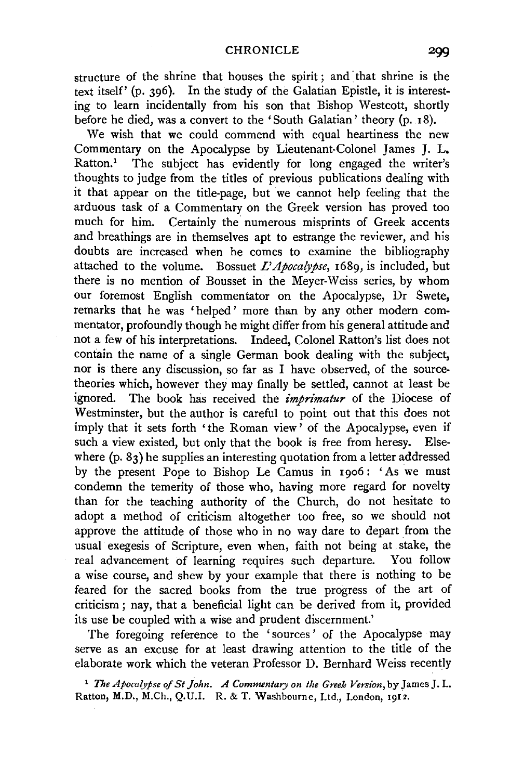structure of the shrine that houses the spirit; and that shrine is the text itself' (p. 396). In the study of the Galatian Epistle, it is interesting to learn incidentally from his son that Bishop Westcott, shortly before he died, was a convert to the 'South Galatian' theory (p. 18).

We wish that we could commend with equal heartiness the new Commentary on the Apocalypse by Lieutenant-Colonel James J. L, Ratton.<sup>1</sup> The subject has evidently for long engaged the writer's thoughts to judge from the titles of previous publications dealing with it that appear on the title-page, but we cannot help feeling that the arduous task of a Commentary on the Greek version has proved too much for him. Certainly the numerous misprints of Greek accents and breathings are in themselves apt to estrange the reviewer, and his doubts are increased when he comes to examine the bibliography attached to the volume. Bossuet *L'Apocalypse,* 1689, is included, but there is no mention of Bousset in the Meyer-Weiss series, by whom our foremost English commentator on the Apocalypse, Dr Swete, remarks that he was 'helped ' more than by any other modern commentator, profoundly though he might differ from his general attitude and not a few of his interpretations. Indeed, Colonel Rattan's list does not contain the name of a single German book dealing with the subject, nor is there any discussion, so far as I have observed, of the sourcetheories which, however they may finally be settled, cannot at least be ignored. The book has received the *imprimatur* of the Diocese of Westminster, but the author is careful to point out that this does not imply that it sets forth 'the Roman view' of the Apocalypse, even if such a view existed, but only that the book is free from heresy. Elsewhere (p. 83) he supplies an interesting quotation from a letter addressed by the present Pope to Bishop Le Camus in 1906: 'As we must condemn the temerity of those who, having more regard for novelty than for the teaching authority of the Church, do not hesitate to adopt a method of criticism altogether too free, so we should not approve the attitude of those who in no way dare to depart from the usual exegesis of Scripture, even when, faith not being at stake, the real advancement of learning requires such departure. You follow a wise course, and shew by your example that there is nothing to be feared for the sacred books from the true progress of the art of criticism; nay, that a beneficial light can be derived from it, provided its use be coupled with a wise and prudent discernment.'

The foregoing reference to the 'sources' of the Apocalypse may serve as an excuse for at least drawing attention to the title of the elaborate work which the veteran Professor D. Bernhard Weiss recently

<sup>1</sup> The Apocalypse of St John. A Commentary on the Greek Version, by James J. L. Ratton, M.D., M.Ch., Q.U.I. R. & T. Washbourne, Ltd., London, 1912.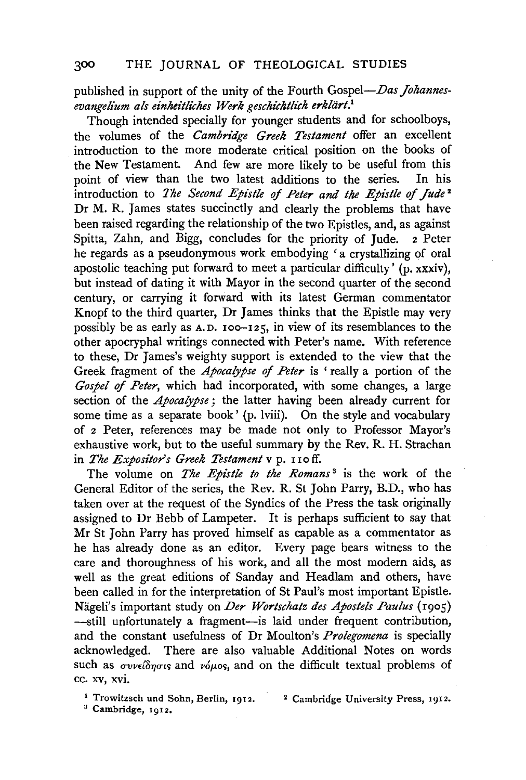## 300 THE JOURNAL OF THEOLOGICAL STUDIES

published in support of the unity of the Fourth *Gospel-Das Johannes*evangelium als einheitliches Werk geschichtlich erklärt.<sup>1</sup>

Though intended specially for younger students and for schoolboys, the volumes of the *Cambridge Greek Testament* offer an excellent introduction to the more moderate critical position on the books of the New Testament. And few are more likely to be useful from this point of view than the two latest additions to the series. In his point of view than the two latest additions to the series. introduction to *The Second Epistle of Peter and the Epistle of Jude* <sup>2</sup> Dr M. R. James states succinctly and clearly the problems that have been raised regarding the relationship of the two Epistles, and, as against Spitta, Zahn, and Bigg, concludes for the priority of Jude. 2 Peter he regards as a pseudonymous work embodying ' a crystallizing of oral apostolic teaching put forward to meet a particular difficulty' (p. xxxiv), but instead of dating it with Mayor in the second quarter of the second century, or carrying it forward with its latest German commentator Knopf to the third quarter, Dr James thinks that the Epistle may very possibly be as early as A.D. 100-125, in view of its resemblances to the other apocryphal writings connected with Peter's name. With reference to these. Dr James's weighty support is extended to the view that the Greek fragment of the *Apocalypse of Peter* is ' really a portion of the *Gospel of Peter,* which had incorporated, with some changes, a large section of the *Apocalypse* ; the latter having been already current for some time as a separate book' (p. lviii). On the style and vocabulary of 2 Peter, references may be made not only to Professor Mayor's exhaustive work, but to the useful summary by the Rev. R. H. Strachan in *The Expositor's Greek Testament* v p. 11 off.

The volume on *The Epistle to the Romans* 3 is the work of the General Editor of the series, the Rev. R. St John Parry, B.D., who has taken over at the request of the Syndics of the Press the task originally assigned to Dr Bebb of Lampeter. It is perhaps sufficient to say that Mr St John Parry has proved himself as capable as a commentator as he has already done as an editor. Every page bears witness to the care and thoroughness of his work, and all the most modern aids, as well as the great editions of Sanday and Headlam and others, have been called in for the interpretation of St Paul's most important Epistle. Nageli's important study on *Der Wortschatz des Apostels Paulus* (1905) -still unfortunately a fragment--is laid under frequent contribution, and the constant usefulness of Dr Moulton's *Prolegomena* is specially acknowledged. There are also valuable Additional Notes on words such as  $\sigma v$ v $\epsilon i \delta \eta \sigma i s$  and v $\delta \mu$ os, and on the difficult textual problems of cc. xv, xvi.

<sup>1</sup> Trowitzsch und Sohn, Berlin, 1912. 2 Cambridge University Press, 1912.

3 Cambridge, 1912.